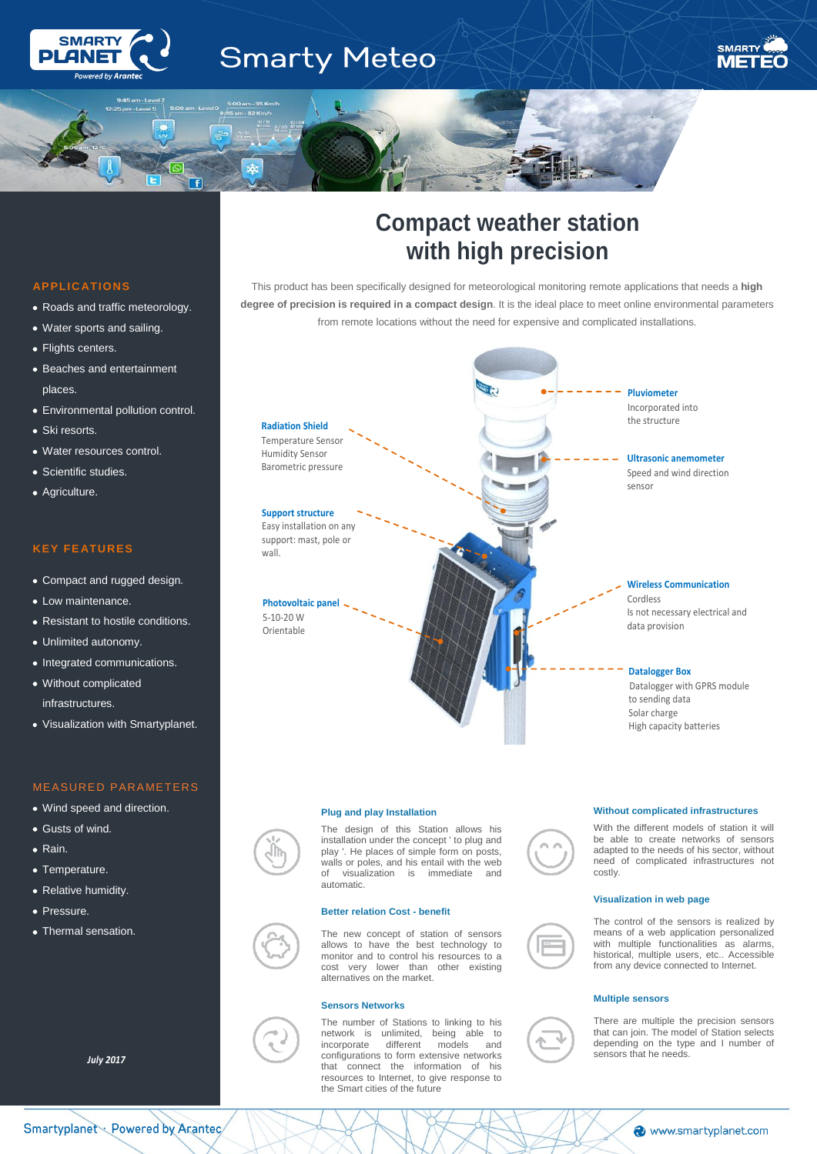

# **Smarty Meteo**



# **APPLIC ATIONS**

l

- Roads and traffic meteorology.
- Water sports and sailing.
- Flights centers.
- Beaches and entertainment places.
- Environmental pollution control.
- Ski resorts.
- Water resources control.
- Scientific studies.
- Agriculture.

# **KEY FE ATURES**

- Compact and rugged design.
- $\bullet$  Low maintenance.
- Resistant to hostile conditions.
- Unlimited autonomy.
- Integrated communications.
- Without complicated infrastructures.
- Visualization with Smartyplanet.

# MEASURED PARAMETERS

- Wind speed and direction.
- Gusts of wind.
- Rain.
- Temperature.
- Relative humidity.
- **Pressure**
- Thermal sensation.

*July 2017*

# **Compact weather station with high precision**

This product has been specifically designed for meteorological monitoring remote applications that needs a **high degree of precision is required in a compact design**. It is the ideal place to meet online environmental parameters from remote locations without the need for expensive and complicated installations.



#### **Plug and play Installation**

The design of this Station allows his installation under the concept ' to plug and play '. He places of simple form on posts, walls or poles, and his entail with the web<br>of visualization is immediate and visualization is immediate automatic.

#### **Better relation Cost - benefit**

The new concept of station of sensors allows to have the best technology to monitor and to control his resources to a cost very lower than other existing alternatives on the market.

#### **Sensors Networks**

The number of Stations to linking to his network is unlimited, being able to incorporate different models and configurations to form extensive networks that connect the information of his resources to Internet, to give response to the Smart cities of the future

#### **Without complicated infrastructures**



With the different models of station it will be able to create networks of sensors adapted to the needs of his sector, without need of complicated infrastructures not costly.

#### **Visualization in web page**



The control of the sensors is realized by means of a web application personalized with multiple functionalities as alarms, historical, multiple users, etc.. Accessible from any device connected to Internet.

## **Multiple sensors**



There are multiple the precision sensors that can join. The model of Station selects depending on the type and I number of sensors that he needs.